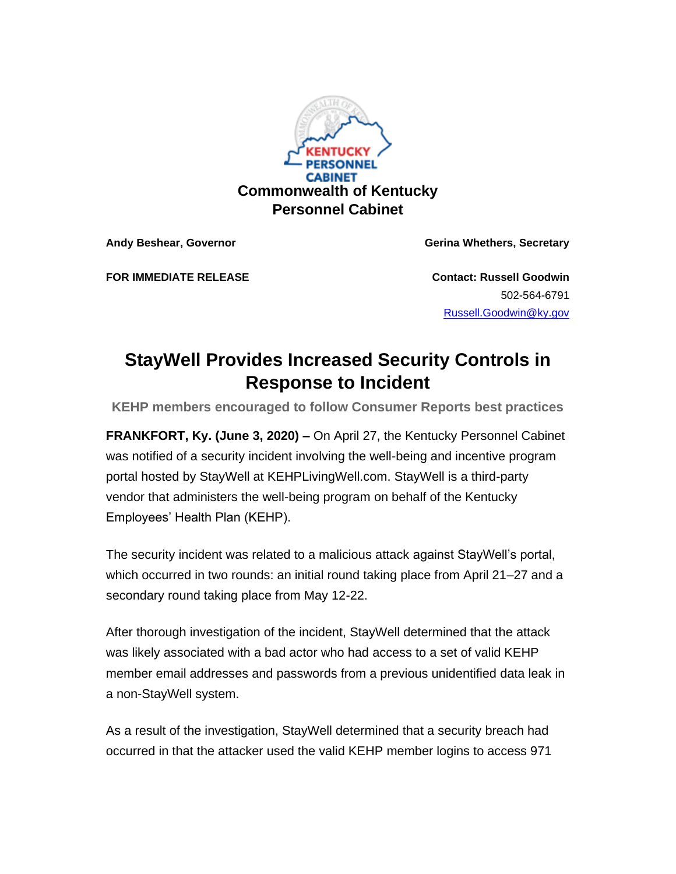

**Andy Beshear, Governor Gerina Whethers, Secretary**

**FOR IMMEDIATE RELEASE Contact: Russell Goodwin**

502-564-6791 [Russell.Goodwin@ky.gov](mailto:LaDonna.Koebel@ky.gov)

## **StayWell Provides Increased Security Controls in Response to Incident**

**KEHP members encouraged to follow Consumer Reports best practices**

**FRANKFORT, Ky. (June 3, 2020) –** On April 27, the Kentucky Personnel Cabinet was notified of a security incident involving the well-being and incentive program portal hosted by StayWell at KEHPLivingWell.com. StayWell is a third-party vendor that administers the well-being program on behalf of the Kentucky Employees' Health Plan (KEHP).

The security incident was related to a malicious attack against StayWell's portal, which occurred in two rounds: an initial round taking place from April 21–27 and a secondary round taking place from May 12-22.

After thorough investigation of the incident, StayWell determined that the attack was likely associated with a bad actor who had access to a set of valid KEHP member email addresses and passwords from a previous unidentified data leak in a non-StayWell system.

As a result of the investigation, StayWell determined that a security breach had occurred in that the attacker used the valid KEHP member logins to access 971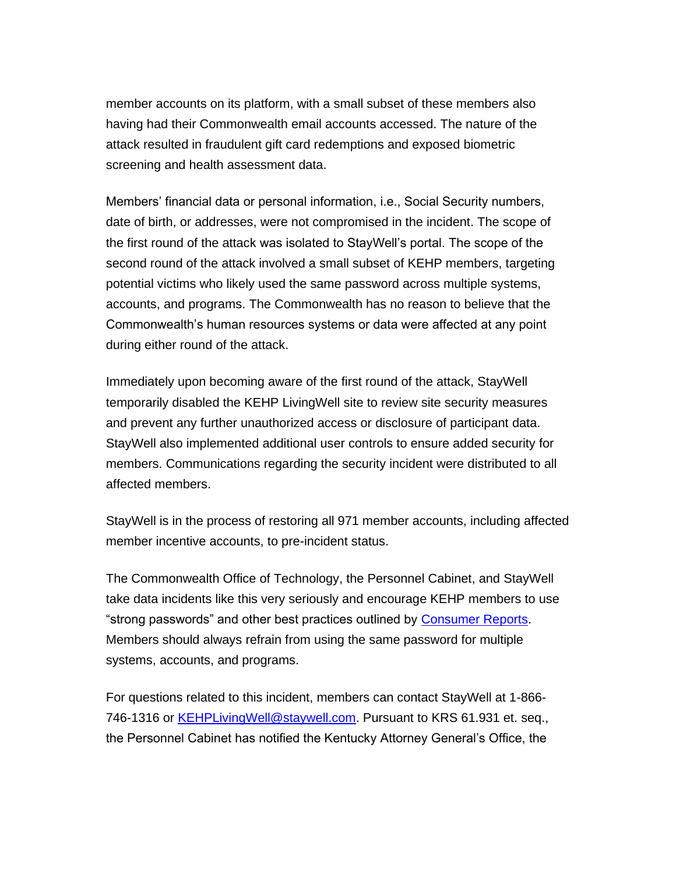member accounts on its platform, with a small subset of these members also having had their Commonwealth email accounts accessed. The nature of the attack resulted in fraudulent gift card redemptions and exposed biometric screening and health assessment data.

Members' financial data or personal information, i.e., Social Security numbers, date of birth, or addresses, were not compromised in the incident. The scope of the first round of the attack was isolated to StayWell's portal. The scope of the second round of the attack involved a small subset of KEHP members, targeting potential victims who likely used the same password across multiple systems, accounts, and programs. The Commonwealth has no reason to believe that the Commonwealth's human resources systems or data were affected at any point during either round of the attack.

Immediately upon becoming aware of the first round of the attack, StayWell temporarily disabled the KEHP LivingWell site to review site security measures and prevent any further unauthorized access or disclosure of participant data. StayWell also implemented additional user controls to ensure added security for members. Communications regarding the security incident were distributed to all affected members.

StayWell is in the process of restoring all 971 member accounts, including affected member incentive accounts, to pre-incident status.

The Commonwealth Office of Technology, the Personnel Cabinet, and StayWell take data incidents like this very seriously and encourage KEHP members to use "strong passwords" and other best practices outlined by [Consumer Reports.](https://urldefense.proofpoint.com/v2/url?u=https-3A__www.consumerreports.org_digital-2Dsecurity_tips-2Dfor-2Dbetter-2Dpasswords_-3Futm-5Fcampaign-3DKentucky-252C-2520Commonwealth-26utm-5Fsource-3Dhs-5Femail-26utm-5Fmedium-3Demail-26utm-5Fcontent-3D2-26-5Fhsenc-3Dp2ANqtz-2D-2DVnZRJeb1ORY2uvvuK77XxWcOsJ8URHWQ5vWApjaLypWrOGXddD3povADEyEPH6BBq2ij3R0J2flmeD2PYIcZT0iaemw-26-5Fhsmi-3D2&d=DwMFaQ&c=jvUANN7rYqzaQJvTqI-69lgi41yDEZ3CXTgIEaHlx7c&r=6wPM7oi4UZS0sZtJGLZfbptadoii7Fyl6WJD0f4oeFU&m=SalRnp4_VZ5DVBnb2QcdHb0AhAD2gxzbw-SiryLKRFE&s=vXBCHm2hqrakXLuvQ30Qiq07-DrdNYTRN9xd1zrqrYg&e=) Members should always refrain from using the same password for multiple systems, accounts, and programs.

For questions related to this incident, members can contact StayWell at 1-866- 746-1316 or **KEHPLivingWell@staywell.com**. Pursuant to KRS 61.931 et. seq., the Personnel Cabinet has notified the Kentucky Attorney General's Office, the